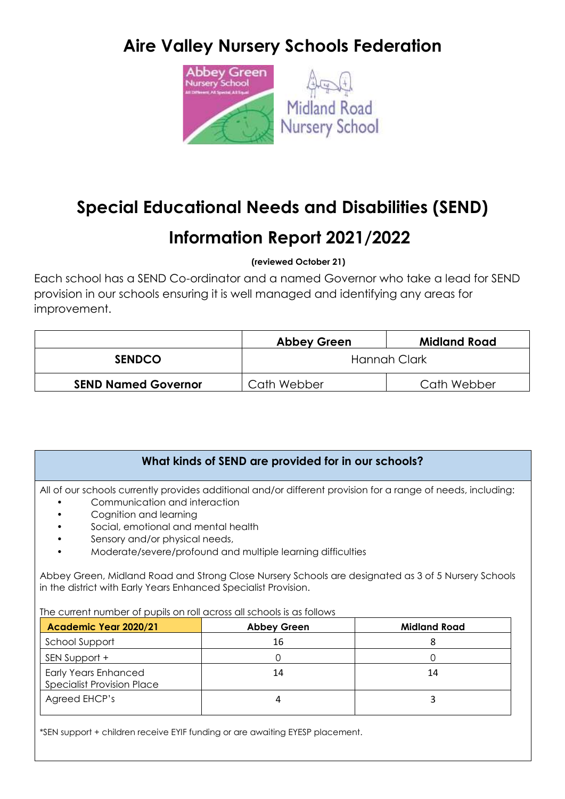# **Aire Valley Nursery Schools Federation**



# **Special Educational Needs and Disabilities (SEND)**

## **Information Report 2021/2022**

**(reviewed October 21)**

Each school has a SEND Co-ordinator and a named Governor who take a lead for SEND provision in our schools ensuring it is well managed and identifying any areas for improvement.

|                            | <b>Abbey Green</b> | Midland Road |
|----------------------------|--------------------|--------------|
| <b>SENDCO</b>              | Hannah Clark       |              |
| <b>SEND Named Governor</b> | Cath Webber        | Cath Webber  |

## **What kinds of SEND are provided for in our schools?**

All of our schools currently provides additional and/or different provision for a range of needs, including:

- Communication and interaction
- Cognition and learning
- Social, emotional and mental health
- Sensory and/or physical needs,
- Moderate/severe/profound and multiple learning difficulties

Abbey Green, Midland Road and Strong Close Nursery Schools are designated as 3 of 5 Nursery Schools in the district with Early Years Enhanced Specialist Provision.

The current number of pupils on roll across all schools is as follows

| Academic Year 2020/21                                            | <b>Abbey Green</b> | <b>Midland Road</b> |
|------------------------------------------------------------------|--------------------|---------------------|
| School Support                                                   | 16                 |                     |
| SEN Support +                                                    |                    |                     |
| <b>Early Years Enhanced</b><br><b>Specialist Provision Place</b> | 14                 | 14                  |
| Agreed EHCP's                                                    |                    |                     |

\*SEN support + children receive EYIF funding or are awaiting EYESP placement.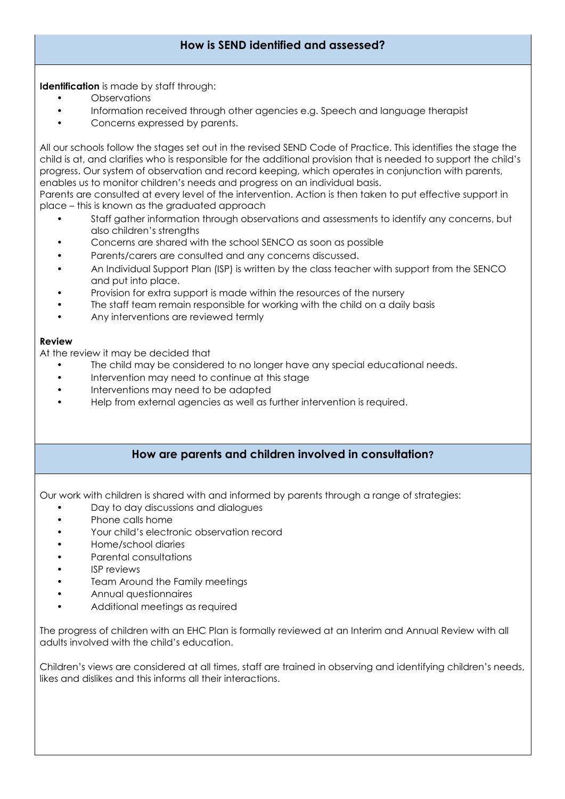## **How is SEND identified and assessed?**

**Identification** is made by staff through:

- **Observations**
- Information received through other agencies e.g. Speech and language therapist
- Concerns expressed by parents.

All our schools follow the stages set out in the revised SEND Code of Practice. This identifies the stage the child is at, and clarifies who is responsible for the additional provision that is needed to support the child's progress. Our system of observation and record keeping, which operates in conjunction with parents, enables us to monitor children's needs and progress on an individual basis.

Parents are consulted at every level of the intervention. Action is then taken to put effective support in place – this is known as the graduated approach

- Staff gather information through observations and assessments to identify any concerns, but also children's strengths
- Concerns are shared with the school SENCO as soon as possible
- Parents/carers are consulted and any concerns discussed.
- An Individual Support Plan (ISP) is written by the class teacher with support from the SENCO and put into place.
- Provision for extra support is made within the resources of the nursery
- The staff team remain responsible for working with the child on a daily basis
- Any interventions are reviewed termly

#### **Review**

At the review it may be decided that

- The child may be considered to no longer have any special educational needs.
- Intervention may need to continue at this stage
- Interventions may need to be adapted
- Help from external agencies as well as further intervention is required.

#### **How are parents and children involved in consultation?**

Our work with children is shared with and informed by parents through a range of strategies:

- Day to day discussions and dialogues
- Phone calls home
- Your child's electronic observation record
- Home/school diaries
- Parental consultations
- **ISP** reviews
- Team Around the Family meetings
- Annual questionnaires
- Additional meetings as required

The progress of children with an EHC Plan is formally reviewed at an Interim and Annual Review with all adults involved with the child's education.

Children's views are considered at all times, staff are trained in observing and identifying children's needs, likes and dislikes and this informs all their interactions.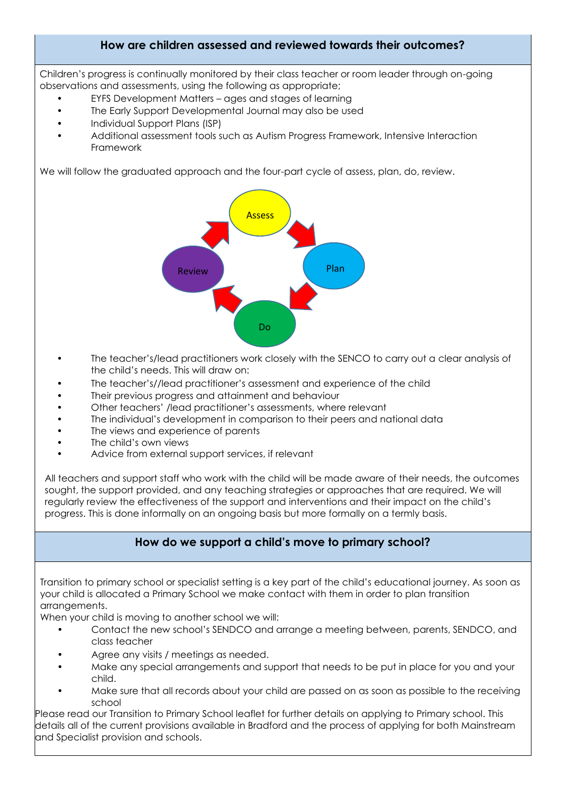## **How are children assessed and reviewed towards their outcomes?**

Children's progress is continually monitored by their class teacher or room leader through on-going observations and assessments, using the following as appropriate;

- EYFS Development Matters ages and stages of learning
- The Early Support Developmental Journal may also be used
- Individual Support Plans (ISP)
- Additional assessment tools such as Autism Progress Framework, Intensive Interaction Framework

We will follow the graduated approach and the four-part cycle of assess, plan, do, review.



- The teacher's/lead practitioners work closely with the SENCO to carry out a clear analysis of the child's needs. This will draw on:
- The teacher's//lead practitioner's assessment and experience of the child
- Their previous progress and attainment and behaviour
- Other teachers' /lead practitioner's assessments, where relevant
- The individual's development in comparison to their peers and national data
- The views and experience of parents
- The child's own views
- Advice from external support services, if relevant

All teachers and support staff who work with the child will be made aware of their needs, the outcomes sought, the support provided, and any teaching strategies or approaches that are required. We will regularly review the effectiveness of the support and interventions and their impact on the child's progress. This is done informally on an ongoing basis but more formally on a termly basis.

## **How do we support a child's move to primary school?**

Transition to primary school or specialist setting is a key part of the child's educational journey. As soon as your child is allocated a Primary School we make contact with them in order to plan transition arrangements.

When your child is moving to another school we will:

- Contact the new school's SENDCO and arrange a meeting between, parents, SENDCO, and class teacher
- Agree any visits / meetings as needed.
- Make any special arrangements and support that needs to be put in place for you and your child.
- Make sure that all records about your child are passed on as soon as possible to the receiving school

Please read our Transition to Primary School leaflet for further details on applying to Primary school. This details all of the current provisions available in Bradford and the process of applying for both Mainstream and Specialist provision and schools.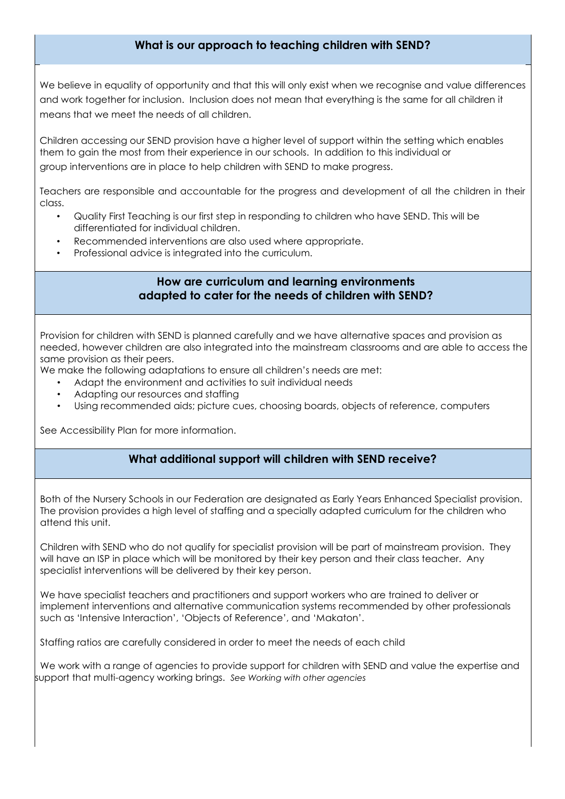## **What is our approach to teaching children with SEND?**

We believe in equality of opportunity and that this will only exist when we recognise and value differences and work together for inclusion. Inclusion does not mean that everything is the same for all children it means that we meet the needs of all children.

Children accessing our SEND provision have a higher level of support within the setting which enables them to gain the most from their experience in our schools. In addition to this individual or group interventions are in place to help children with SEND to make progress.

Teachers are responsible and accountable for the progress and development of all the children in their class.

- Quality First Teaching is our first step in responding to children who have SEND. This will be differentiated for individual children.
- Recommended interventions are also used where appropriate.
- Professional advice is integrated into the curriculum.

### **How are curriculum and learning environments adapted to cater for the needs of children with SEND?**

Provision for children with SEND is planned carefully and we have alternative spaces and provision as needed, however children are also integrated into the mainstream classrooms and are able to access the same provision as their peers.

We make the following adaptations to ensure all children's needs are met:

- Adapt the environment and activities to suit individual needs
- Adapting our resources and staffing
- Using recommended aids; picture cues, choosing boards, objects of reference, computers

See Accessibility Plan for more information.

#### **What additional support will children with SEND receive?**

Both of the Nursery Schools in our Federation are designated as Early Years Enhanced Specialist provision. The provision provides a high level of staffing and a specially adapted curriculum for the children who attend this unit.

Children with SEND who do not qualify for specialist provision will be part of mainstream provision. They will have an ISP in place which will be monitored by their key person and their class teacher. Any specialist interventions will be delivered by their key person.

We have specialist teachers and practitioners and support workers who are trained to deliver or implement interventions and alternative communication systems recommended by other professionals such as 'Intensive Interaction', 'Objects of Reference', and 'Makaton'.

Staffing ratios are carefully considered in order to meet the needs of each child

 We work with a range of agencies to provide support for children with SEND and value the expertise and support that multi-agency working brings. *See Working with other agencies*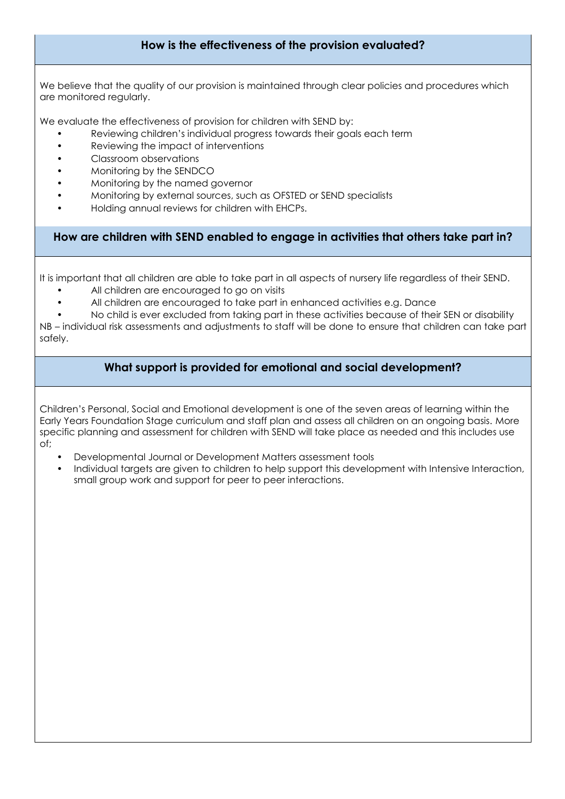## **How is the effectiveness of the provision evaluated?**

We believe that the quality of our provision is maintained through clear policies and procedures which are monitored regularly.

We evaluate the effectiveness of provision for children with SEND by:

- Reviewing children's individual progress towards their goals each term
- Reviewing the impact of interventions
- Classroom observations
- Monitoring by the SENDCO
- Monitoring by the named governor
- Monitoring by external sources, such as OFSTED or SEND specialists
- Holding annual reviews for children with EHCPs.

**How are children with SEND enabled to engage in activities that others take part in?** 

It is important that all children are able to take part in all aspects of nursery life regardless of their SEND.

- All children are encouraged to go on visits
- All children are encouraged to take part in enhanced activities e.g. Dance

• No child is ever excluded from taking part in these activities because of their SEN or disability NB – individual risk assessments and adjustments to staff will be done to ensure that children can take part safely.

#### **What support is provided for emotional and social development?**

Children's Personal, Social and Emotional development is one of the seven areas of learning within the Early Years Foundation Stage curriculum and staff plan and assess all children on an ongoing basis. More specific planning and assessment for children with SEND will take place as needed and this includes use of;

- Developmental Journal or Development Matters assessment tools
- Individual targets are given to children to help support this development with Intensive Interaction, small group work and support for peer to peer interactions.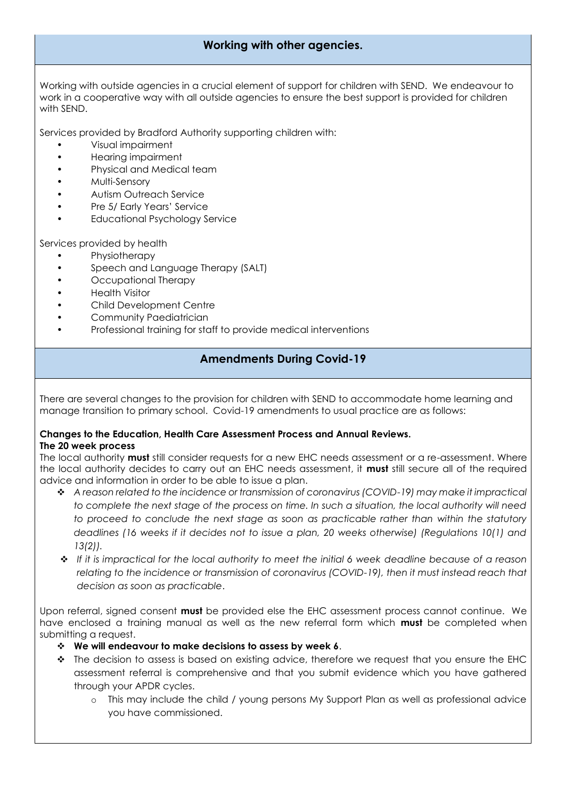## **Working with other agencies.**

Working with outside agencies in a crucial element of support for children with SEND. We endeavour to work in a cooperative way with all outside agencies to ensure the best support is provided for children with SEND.

Services provided by Bradford Authority supporting children with:

- Visual impairment
- Hearing impairment
- Physical and Medical team
- Multi-Sensory
- Autism Outreach Service
- Pre 5/ Early Years' Service
- Educational Psychology Service

Services provided by health

- Physiotherapy
- Speech and Language Therapy (SALT)
- Occupational Therapy
- Health Visitor
- Child Development Centre
- Community Paediatrician
- Professional training for staff to provide medical interventions

## **Amendments During Covid-19**

There are several changes to the provision for children with SEND to accommodate home learning and manage transition to primary school. Covid-19 amendments to usual practice are as follows:

#### **Changes to the Education, Health Care Assessment Process and Annual Reviews. The 20 week process**

The local authority **must** still consider requests for a new EHC needs assessment or a re-assessment. Where the local authority decides to carry out an EHC needs assessment, it **must** still secure all of the required advice and information in order to be able to issue a plan.

- *A reason related to the incidence or transmission of coronavirus (COVID-19) may make it impractical to complete the next stage of the process on time. In such a situation, the local authority will need to proceed to conclude the next stage as soon as practicable rather than within the statutory deadlines (16 weeks if it decides not to issue a plan, 20 weeks otherwise) (Regulations 10(1) and 13(2)).*
- *If it is impractical for the local authority to meet the initial 6 week deadline because of a reason relating to the incidence or transmission of coronavirus (COVID-19), then it must instead reach that decision as soon as practicable*.

Upon referral, signed consent **must** be provided else the EHC assessment process cannot continue. We have enclosed a training manual as well as the new referral form which **must** be completed when submitting a request.

- **We will endeavour to make decisions to assess by week 6**.
- \* The decision to assess is based on existing advice, therefore we request that you ensure the EHC assessment referral is comprehensive and that you submit evidence which you have gathered through your APDR cycles.
	- o This may include the child / young persons My Support Plan as well as professional advice you have commissioned.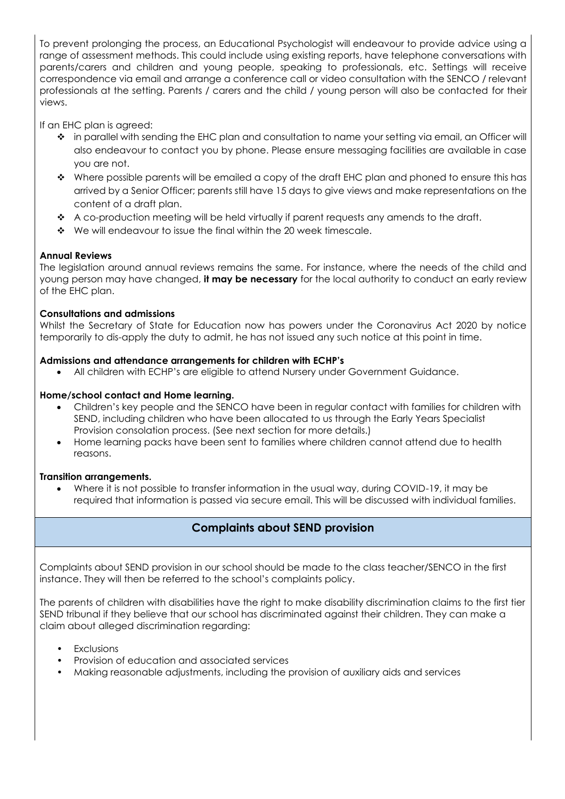To prevent prolonging the process, an Educational Psychologist will endeavour to provide advice using a range of assessment methods. This could include using existing reports, have telephone conversations with parents/carers and children and young people, speaking to professionals, etc. Settings will receive correspondence via email and arrange a conference call or video consultation with the SENCO / relevant professionals at the setting. Parents / carers and the child / young person will also be contacted for their views.

If an EHC plan is agreed:

- in parallel with sending the EHC plan and consultation to name your setting via email, an Officer will also endeavour to contact you by phone. Please ensure messaging facilities are available in case you are not.
- $\bullet\quad$  Where possible parents will be emailed a copy of the draft EHC plan and phoned to ensure this has arrived by a Senior Officer; parents still have 15 days to give views and make representations on the content of a draft plan.
- \* A co-production meeting will be held virtually if parent requests any amends to the draft.
- $\cdot \cdot$  We will endeavour to issue the final within the 20 week timescale.

#### **Annual Reviews**

The legislation around annual reviews remains the same. For instance, where the needs of the child and young person may have changed, **it may be necessary** for the local authority to conduct an early review of the EHC plan.

#### **Consultations and admissions**

Whilst the Secretary of State for Education now has powers under the Coronavirus Act 2020 by notice temporarily to dis-apply the duty to admit, he has not issued any such notice at this point in time.

#### **Admissions and attendance arrangements for children with ECHP's**

All children with ECHP's are eligible to attend Nursery under Government Guidance.

#### **Home/school contact and Home learning.**

- Children's key people and the SENCO have been in regular contact with families for children with SEND, including children who have been allocated to us through the Early Years Specialist Provision consolation process. (See next section for more details.)
- Home learning packs have been sent to families where children cannot attend due to health reasons.

#### **Transition arrangements.**

 Where it is not possible to transfer information in the usual way, during COVID-19, it may be required that information is passed via secure email. This will be discussed with individual families.

## **Complaints about SEND provision**

Complaints about SEND provision in our school should be made to the class teacher/SENCO in the first instance. They will then be referred to the school's complaints policy.

The parents of children with disabilities have the right to make disability discrimination claims to the first tier SEND tribunal if they believe that our school has discriminated against their children. They can make a claim about alleged discrimination regarding:

- **Exclusions**
- Provision of education and associated services
- Making reasonable adjustments, including the provision of auxiliary aids and services